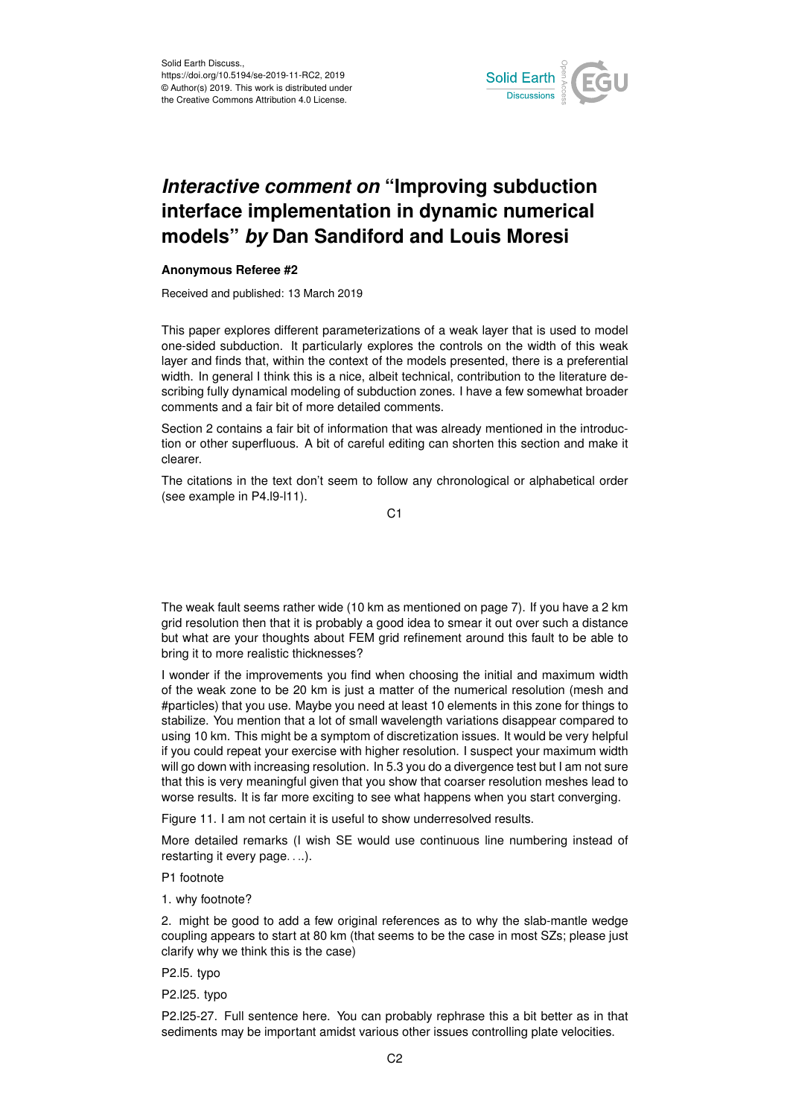

## *Interactive comment on* **"Improving subduction interface implementation in dynamic numerical models"** *by* **Dan Sandiford and Louis Moresi**

## **Anonymous Referee #2**

Received and published: 13 March 2019

This paper explores different parameterizations of a weak layer that is used to model one-sided subduction. It particularly explores the controls on the width of this weak layer and finds that, within the context of the models presented, there is a preferential width. In general I think this is a nice, albeit technical, contribution to the literature describing fully dynamical modeling of subduction zones. I have a few somewhat broader comments and a fair bit of more detailed comments.

Section 2 contains a fair bit of information that was already mentioned in the introduction or other superfluous. A bit of careful editing can shorten this section and make it clearer.

The citations in the text don't seem to follow any chronological or alphabetical order (see example in P4.l9-l11).

C1

The weak fault seems rather wide (10 km as mentioned on page 7). If you have a 2 km grid resolution then that it is probably a good idea to smear it out over such a distance but what are your thoughts about FEM grid refinement around this fault to be able to bring it to more realistic thicknesses?

I wonder if the improvements you find when choosing the initial and maximum width of the weak zone to be 20 km is just a matter of the numerical resolution (mesh and #particles) that you use. Maybe you need at least 10 elements in this zone for things to stabilize. You mention that a lot of small wavelength variations disappear compared to using 10 km. This might be a symptom of discretization issues. It would be very helpful if you could repeat your exercise with higher resolution. I suspect your maximum width will go down with increasing resolution. In 5.3 you do a divergence test but I am not sure that this is very meaningful given that you show that coarser resolution meshes lead to worse results. It is far more exciting to see what happens when you start converging.

Figure 11. I am not certain it is useful to show underresolved results.

More detailed remarks (I wish SE would use continuous line numbering instead of restarting it every page. . ..).

P1 footnote

1. why footnote?

2. might be good to add a few original references as to why the slab-mantle wedge coupling appears to start at 80 km (that seems to be the case in most SZs; please just clarify why we think this is the case)

P2.l5. typo

P2.l25. typo

P2.l25-27. Full sentence here. You can probably rephrase this a bit better as in that sediments may be important amidst various other issues controlling plate velocities.